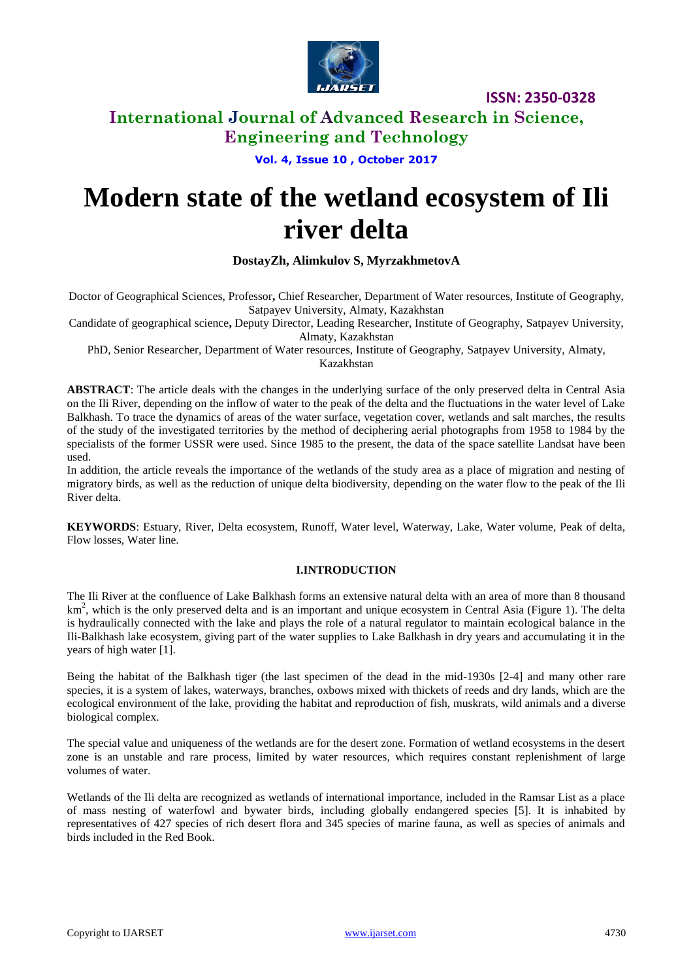

### **International Journal of Advanced Research in Science, Engineering and Technology**

### **Vol. 4, Issue 10 , October 2017**

# **Modern state of the wetland ecosystem of Ili river delta**

### **DostayZh, Alimkulov S, MyrzakhmetovA**

Doctor of Geographical Sciences, Professor**,** Chief Researcher, Department of Water resources, Institute of Geography, Satpayev University, Almaty, Kazakhstan

Candidate of geographical science**,** Deputy Director, Leading Researcher, Institute of Geography, Satpayev University, Almaty, Kazakhstan

PhD, Senior Researcher, Department of Water resources, Institute of Geography, Satpayev University, Almaty,

Kazakhstan

**ABSTRACT**: The article deals with the changes in the underlying surface of the only preserved delta in Central Asia on the Ili River, depending on the inflow of water to the peak of the delta and the fluctuations in the water level of Lake Balkhash. To trace the dynamics of areas of the water surface, vegetation cover, wetlands and salt marches, the results of the study of the investigated territories by the method of deciphering aerial photographs from 1958 to 1984 by the specialists of the former USSR were used. Since 1985 to the present, the data of the space satellite Landsat have been used.

In addition, the article reveals the importance of the wetlands of the study area as a place of migration and nesting of migratory birds, as well as the reduction of unique delta biodiversity, depending on the water flow to the peak of the Ili River delta.

**KEYWORDS**: Estuary, River, Delta ecosystem, Runoff, Water level, Waterway, Lake, Water volume, Peak of delta, Flow losses, Water line.

### **I.INTRODUCTION**

The Ili River at the confluence of Lake Balkhash forms an extensive natural delta with an area of more than 8 thousand  $km<sup>2</sup>$ , which is the only preserved delta and is an important and unique ecosystem in Central Asia (Figure 1). The delta is hydraulically connected with the lake and plays the role of a natural regulator to maintain ecological balance in the Ili-Balkhash lake ecosystem, giving part of the water supplies to Lake Balkhash in dry years and accumulating it in the years of high water [1].

Being the habitat of the Balkhash tiger (the last specimen of the dead in the mid-1930s [2-4] and many other rare species, it is a system of lakes, waterways, branches, oxbows mixed with thickets of reeds and dry lands, which are the ecological environment of the lake, providing the habitat and reproduction of fish, muskrats, wild animals and a diverse biological complex.

The special value and uniqueness of the wetlands are for the desert zone. Formation of wetland ecosystems in the desert zone is an unstable and rare process, limited by water resources, which requires constant replenishment of large volumes of water.

Wetlands of the Ili delta are recognized as wetlands of international importance, included in the Ramsar List as a place of mass nesting of waterfowl and bywater birds, including globally endangered species [5]. It is inhabited by representatives of 427 species of rich desert flora and 345 species of marine fauna, as well as species of animals and birds included in the Red Book.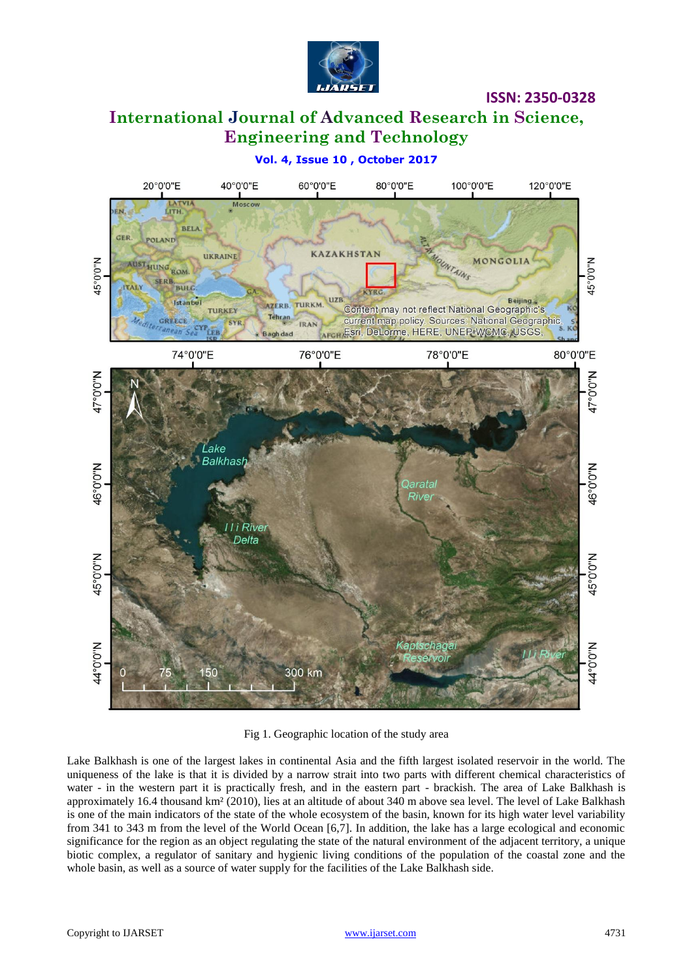

# **International Journal of Advanced Research in Science, Engineering and Technology**



Fig 1. Geographic location of the study area

Lake Balkhash is one of the largest lakes in continental Asia and the fifth largest isolated reservoir in the world. The uniqueness of the lake is that it is divided by a narrow strait into two parts with different chemical characteristics of water - in the western part it is practically fresh, and in the eastern part - brackish. The area of Lake Balkhash is approximately 16.4 thousand km² (2010), lies at an altitude of about 340 m above sea level. The level of Lake Balkhash is one of the main indicators of the state of the whole ecosystem of the basin, known for its high water level variability from 341 to 343 m from the level of the World Ocean [6,7]. In addition, the lake has a large ecological and economic significance for the region as an object regulating the state of the natural environment of the adjacent territory, a unique biotic complex, a regulator of sanitary and hygienic living conditions of the population of the coastal zone and the whole basin, as well as a source of water supply for the facilities of the Lake Balkhash side.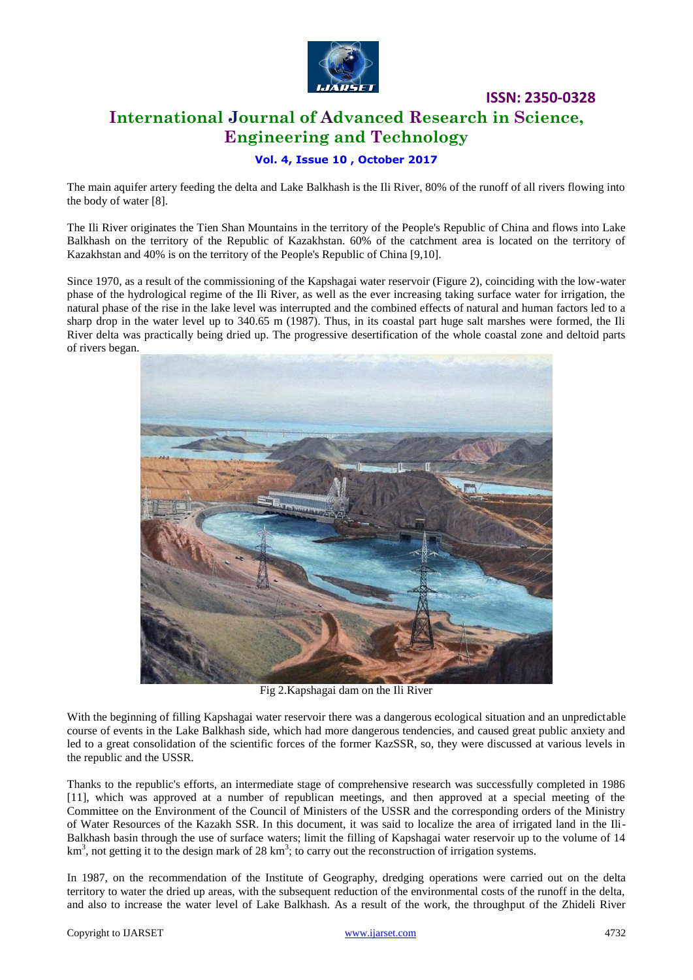

# **ISSN: 2350-0328 International Journal of Advanced Research in Science, Engineering and Technology**

### **Vol. 4, Issue 10 , October 2017**

The main aquifer artery feeding the delta and Lake Balkhash is the Ili River, 80% of the runoff of all rivers flowing into the body of water [8].

The Ili River originates the Tien Shan Mountains in the territory of the People's Republic of China and flows into Lake Balkhash on the territory of the Republic of Kazakhstan. 60% of the catchment area is located on the territory of Kazakhstan and 40% is on the territory of the People's Republic of China [9,10].

Since 1970, as a result of the commissioning of the Kapshagai water reservoir (Figure 2), coinciding with the low-water phase of the hydrological regime of the Ili River, as well as the ever increasing taking surface water for irrigation, the natural phase of the rise in the lake level was interrupted and the combined effects of natural and human factors led to a sharp drop in the water level up to 340.65 m (1987). Thus, in its coastal part huge salt marshes were formed, the Ili River delta was practically being dried up. The progressive desertification of the whole coastal zone and deltoid parts of rivers began.



Fig 2.Kapshagai dam on the Ili River

With the beginning of filling Kapshagai water reservoir there was a dangerous ecological situation and an unpredictable course of events in the Lake Balkhash side, which had more dangerous tendencies, and caused great public anxiety and led to a great consolidation of the scientific forces of the former KazSSR, so, they were discussed at various levels in the republic and the USSR.

Thanks to the republic's efforts, an intermediate stage of comprehensive research was successfully completed in 1986 [11], which was approved at a number of republican meetings, and then approved at a special meeting of the Committee on the Environment of the Council of Ministers of the USSR and the corresponding orders of the Ministry of Water Resources of the Kazakh SSR. In this document, it was said to localize the area of irrigated land in the Ili-Balkhash basin through the use of surface waters; limit the filling of Kapshagai water reservoir up to the volume of 14 km<sup>3</sup>, not getting it to the design mark of 28 km<sup>3</sup>; to carry out the reconstruction of irrigation systems.

In 1987, on the recommendation of the Institute of Geography, dredging operations were carried out on the delta territory to water the dried up areas, with the subsequent reduction of the environmental costs of the runoff in the delta, and also to increase the water level of Lake Balkhash. As a result of the work, the throughput of the Zhideli River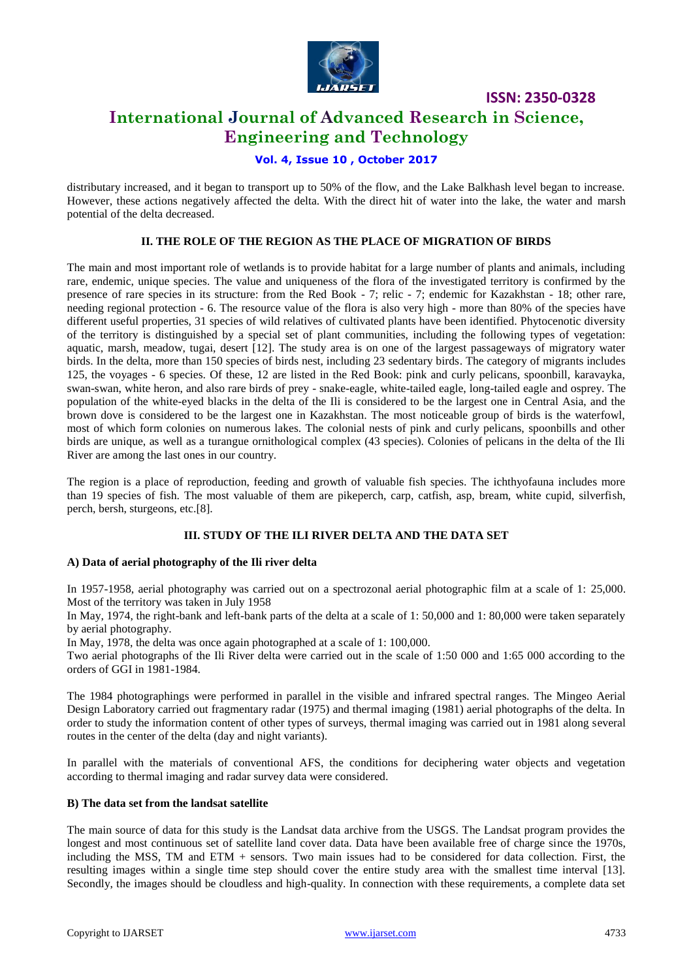

### **International Journal of Advanced Research in Science, Engineering and Technology**

### **Vol. 4, Issue 10 , October 2017**

distributary increased, and it began to transport up to 50% of the flow, and the Lake Balkhash level began to increase. However, these actions negatively affected the delta. With the direct hit of water into the lake, the water and marsh potential of the delta decreased.

### **II. THE ROLE OF THE REGION AS THE PLACE OF MIGRATION OF BIRDS**

The main and most important role of wetlands is to provide habitat for a large number of plants and animals, including rare, endemic, unique species. The value and uniqueness of the flora of the investigated territory is confirmed by the presence of rare species in its structure: from the Red Book - 7; relic - 7; endemic for Kazakhstan - 18; other rare, needing regional protection - 6. The resource value of the flora is also very high - more than 80% of the species have different useful properties, 31 species of wild relatives of cultivated plants have been identified. Phytocenotic diversity of the territory is distinguished by a special set of plant communities, including the following types of vegetation: aquatic, marsh, meadow, tugai, desert [12]. The study area is on one of the largest passageways of migratory water birds. In the delta, more than 150 species of birds nest, including 23 sedentary birds. The category of migrants includes 125, the voyages - 6 species. Of these, 12 are listed in the Red Book: pink and curly pelicans, spoonbill, karavayka, swan-swan, white heron, and also rare birds of prey - snake-eagle, white-tailed eagle, long-tailed eagle and osprey. The population of the white-eyed blacks in the delta of the Ili is considered to be the largest one in Central Asia, and the brown dove is considered to be the largest one in Kazakhstan. The most noticeable group of birds is the waterfowl, most of which form colonies on numerous lakes. The colonial nests of pink and curly pelicans, spoonbills and other birds are unique, as well as a turangue ornithological complex (43 species). Colonies of pelicans in the delta of the Ili River are among the last ones in our country.

The region is a place of reproduction, feeding and growth of valuable fish species. The ichthyofauna includes more than 19 species of fish. The most valuable of them are pikeperch, carp, catfish, asp, bream, white cupid, silverfish, perch, bersh, sturgeons, etc.[8].

#### **III. STUDY OF THE ILI RIVER DELTA AND THE DATA SET**

#### **A) Data of aerial photography of the Ili river delta**

In 1957-1958, aerial photography was carried out on a spectrozonal aerial photographic film at a scale of 1: 25,000. Most of the territory was taken in July 1958

In May, 1974, the right-bank and left-bank parts of the delta at a scale of 1: 50,000 and 1: 80,000 were taken separately by aerial photography.

In May, 1978, the delta was once again photographed at a scale of 1: 100,000.

Two aerial photographs of the Ili River delta were carried out in the scale of 1:50 000 and 1:65 000 according to the orders of GGI in 1981-1984.

The 1984 photographings were performed in parallel in the visible and infrared spectral ranges. The Mingeo Aerial Design Laboratory carried out fragmentary radar (1975) and thermal imaging (1981) aerial photographs of the delta. In order to study the information content of other types of surveys, thermal imaging was carried out in 1981 along several routes in the center of the delta (day and night variants).

In parallel with the materials of conventional AFS, the conditions for deciphering water objects and vegetation according to thermal imaging and radar survey data were considered.

#### **B) The data set from the landsat satellite**

The main source of data for this study is the Landsat data archive from the USGS. The Landsat program provides the longest and most continuous set of satellite land cover data. Data have been available free of charge since the 1970s, including the MSS, TM and ETM + sensors. Two main issues had to be considered for data collection. First, the resulting images within a single time step should cover the entire study area with the smallest time interval [13]. Secondly, the images should be cloudless and high-quality. In connection with these requirements, a complete data set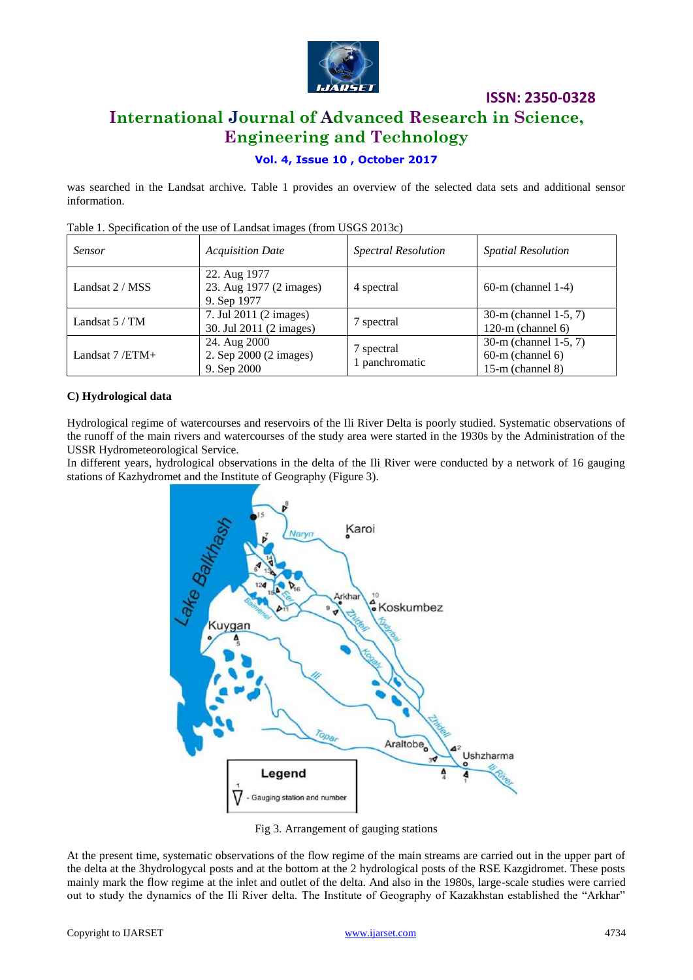

# **International Journal of Advanced Research in Science, Engineering and Technology**

### **Vol. 4, Issue 10 , October 2017**

was searched in the Landsat archive. Table 1 provides an overview of the selected data sets and additional sensor information.

| <b>Sensor</b>    | <b>Acquisition Date</b>                                | <b>Spectral Resolution</b> | <b>Spatial Resolution</b>                                            |  |
|------------------|--------------------------------------------------------|----------------------------|----------------------------------------------------------------------|--|
| Landsat 2 / MSS  | 22. Aug 1977<br>23. Aug 1977 (2 images)<br>9. Sep 1977 | 4 spectral                 | $60-m$ (channel 1-4)                                                 |  |
| Landsat $5/TM$   | 7. Jul 2011 (2 images)<br>30. Jul 2011 (2 images)      | spectral                   | 30-m (channel 1-5, 7)<br>120-m (channel $6$ )                        |  |
| Landsat $7/ETM+$ | 24. Aug 2000<br>2. Sep 2000 (2 images)<br>9. Sep 2000  | 7 spectral<br>panchromatic | 30-m (channel 1-5, 7)<br>$60-m$ (channel $6$ )<br>$15-m$ (channel 8) |  |

Table 1. Specification of the use of Landsat images (from USGS 2013c)

### **C) Hydrological data**

Hydrological regime of watercourses and reservoirs of the Ili River Delta is poorly studied. Systematic observations of the runoff of the main rivers and watercourses of the study area were started in the 1930s by the Administration of the USSR Hydrometeorological Service.

In different years, hydrological observations in the delta of the Ili River were conducted by a network of 16 gauging stations of Kazhydromet and the Institute of Geography (Figure 3).



Fig 3. Arrangement of gauging stations

At the present time, systematic observations of the flow regime of the main streams are carried out in the upper part of the delta at the 3hydrologycal posts and at the bottom at the 2 hydrological posts of the RSE Kazgidromet. These posts mainly mark the flow regime at the inlet and outlet of the delta. And also in the 1980s, large-scale studies were carried out to study the dynamics of the Ili River delta. The Institute of Geography of Kazakhstan established the "Arkhar"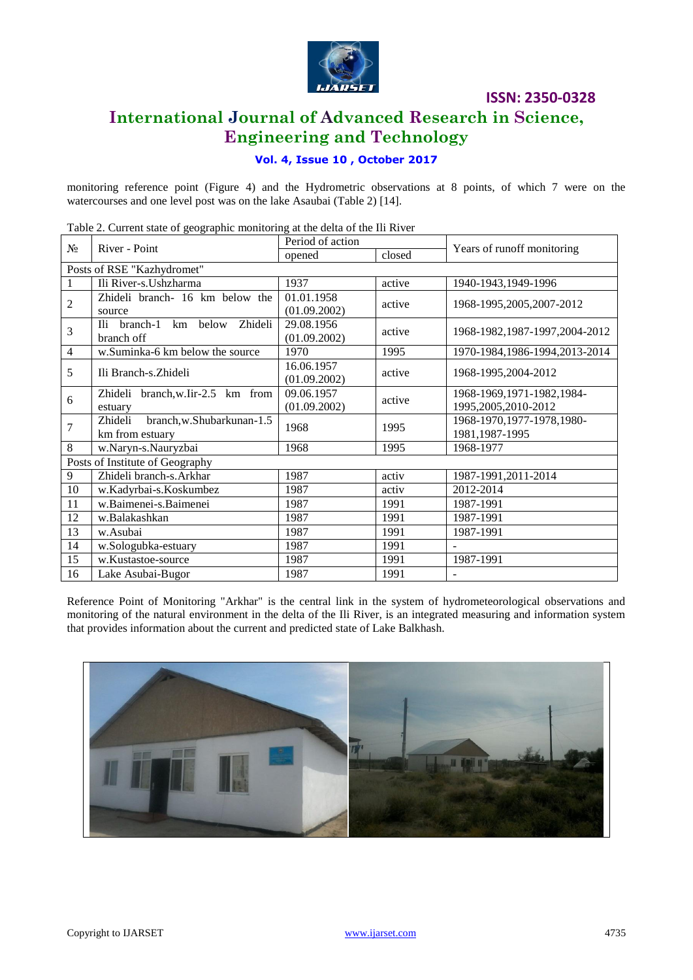

### **International Journal of Advanced Research in Science, Engineering and Technology**

### **Vol. 4, Issue 10 , October 2017**

monitoring reference point (Figure 4) and the Hydrometric observations at 8 points, of which 7 were on the watercourses and one level post was on the lake Asaubai (Table 2) [14].

№ River - Point Period of action Years of runoff monitoring opened closed Posts of RSE "Kazhydromet" 1 Ili River-s.Ushzharma 1937 active 1940-1943,1949-1996  $\mathfrak{D}$ Zhideli branch- 16 km below the source 01.01.1958  $(01.09.2002)$  active 1968-1995,2005,2007-2012 3 Ili branch-1 km below Zhideli branch off 29.08.1956  $(01.09.2002)$  active 1968-1982,1987-1997,2004-2012 4 w.Suminka-6 km below the source 1970 1995 1970-1984,1986-1994,2013-2014 5 Ili Branch-s. Zhideli 16.06.1957<br>
(01.09.2002) active 1968-1995,2004-2012 6 Zhideli branch,w.Iir-2.5 km from estuary 09.06.1957 09.06.1957 active 1968-1969,1971-1982,1984-<br>
(01.09.2002) active 1995,2005,2010-2012 7 Zhideli branch,w.Shubarkunan-1.5 Zhideli branch,w.Shubarkunan-1.5 1968 1995 1980-1970,1977-1978,1980-<br>km from estuary 1981,1987-1995 1981,1987-1995 8 | w.Naryn-s.Nauryzbai 1968 1968 1995 | 1968-1977 Posts of Institute of Geography 9 | Zhideli branch-s.Arkhar | 1987 | activ | 1987-1991,2011-2014 10 w.Kadyrbai-s.Koskumbez 1987 activ 2012-2014 11 w.Baimenei-s.Baimenei 1987 1991 1987-1991 12 w.Balakashkan 1987 1987 1991 1987-1991 13 w.Asubai 1987 1991 1987-1991 14 | w.Sologubka-estuary 1987 | 1991 15 | w.Kustastoe-source 1987 1987 1991 1987-1991 16 | Lake Asubai-Bugor | 1987 | 1991

Table 2. Current state of geographic monitoring at the delta of the Ili River

Reference Point of Monitoring "Arkhar" is the central link in the system of hydrometeorological observations and monitoring of the natural environment in the delta of the Ili River, is an integrated measuring and information system that provides information about the current and predicted state of Lake Balkhash.

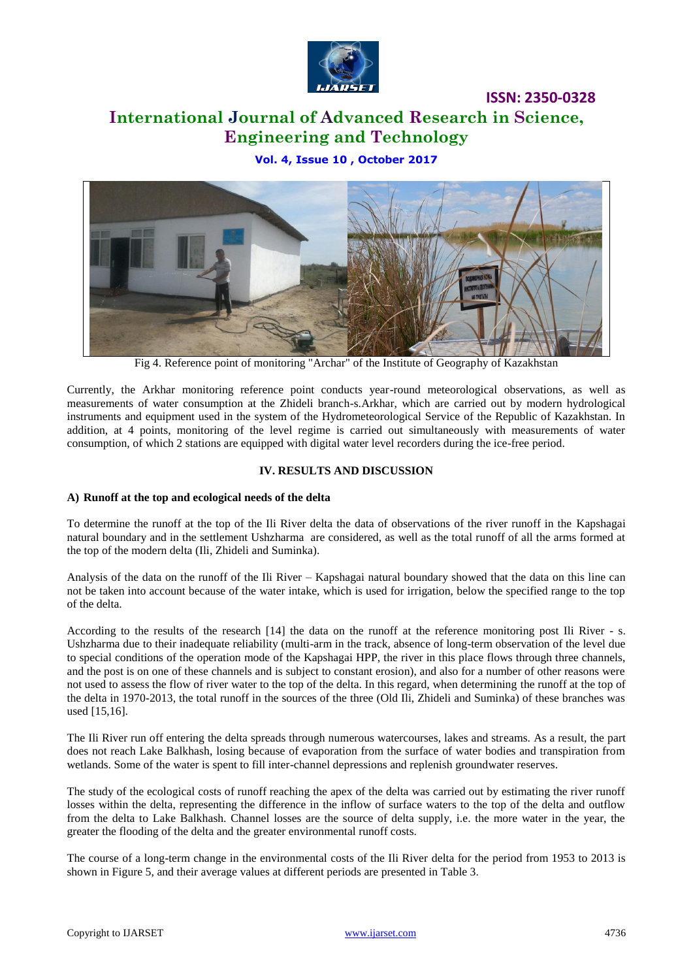

# **International Journal of Advanced Research in Science, Engineering and Technology**

**Vol. 4, Issue 10 , October 2017**



Fig 4. Reference point of monitoring "Archar" of the Institute of Geography of Kazakhstan

Currently, the Arkhar monitoring reference point conducts year-round meteorological observations, as well as measurements of water consumption at the Zhideli branch-s.Arkhar, which are carried out by modern hydrological instruments and equipment used in the system of the Hydrometeorological Service of the Republic of Kazakhstan. In addition, at 4 points, monitoring of the level regime is carried out simultaneously with measurements of water consumption, of which 2 stations are equipped with digital water level recorders during the ice-free period.

### **IV. RESULTS AND DISCUSSION**

#### **A) Runoff at the top and ecological needs of the delta**

To determine the runoff at the top of the Ili River delta the data of observations of the river runoff in the Kapshagai natural boundary and in the settlement Ushzharma are considered, as well as the total runoff of all the arms formed at the top of the modern delta (Ili, Zhideli and Suminka).

Analysis of the data on the runoff of the Ili River – Kapshagai natural boundary showed that the data on this line can not be taken into account because of the water intake, which is used for irrigation, below the specified range to the top of the delta.

According to the results of the research [14] the data on the runoff at the reference monitoring post Ili River - s. Ushzharma due to their inadequate reliability (multi-arm in the track, absence of long-term observation of the level due to special conditions of the operation mode of the Kapshagai HPP, the river in this place flows through three channels, and the post is on one of these channels and is subject to constant erosion), and also for a number of other reasons were not used to assess the flow of river water to the top of the delta. In this regard, when determining the runoff at the top of the delta in 1970-2013, the total runoff in the sources of the three (Old Ili, Zhideli and Suminka) of these branches was used [15,16].

The Ili River run off entering the delta spreads through numerous watercourses, lakes and streams. As a result, the part does not reach Lake Balkhash, losing because of evaporation from the surface of water bodies and transpiration from wetlands. Some of the water is spent to fill inter-channel depressions and replenish groundwater reserves.

The study of the ecological costs of runoff reaching the apex of the delta was carried out by estimating the river runoff losses within the delta, representing the difference in the inflow of surface waters to the top of the delta and outflow from the delta to Lake Balkhash. Channel losses are the source of delta supply, i.e. the more water in the year, the greater the flooding of the delta and the greater environmental runoff costs.

The course of a long-term change in the environmental costs of the Ili River delta for the period from 1953 to 2013 is shown in Figure 5, and their average values at different periods are presented in Table 3.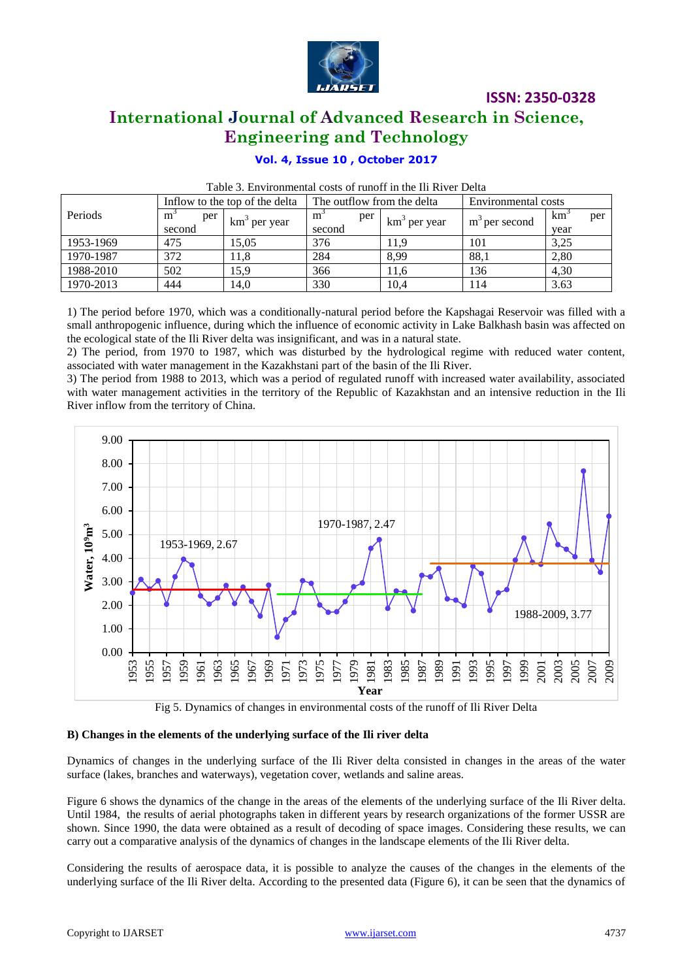

### **International Journal of Advanced Research in Science, Engineering and Technology**

### **Vol. 4, Issue 10 , October 2017**

|           | Inflow to the top of the delta |             | The outflow from the delta |                          | Environmental costs       |                 |     |
|-----------|--------------------------------|-------------|----------------------------|--------------------------|---------------------------|-----------------|-----|
| Periods   | m<br>per                       |             | m<br>per                   |                          |                           | km <sup>-</sup> | per |
|           | second                         | km per year | second                     | km <sup>3</sup> per year | m <sup>3</sup> per second | vear            |     |
| 1953-1969 | 475                            | 15.05       | 376                        | 11.9                     | 101                       | 3,25            |     |
| 1970-1987 | 372                            | 11.8        | 284                        | 8,99                     | 88,1                      | 2,80            |     |
| 1988-2010 | 502                            | 15,9        | 366                        | 11,6                     | 136                       | 4,30            |     |
| 1970-2013 | 444                            | 14,0        | 330                        | 10,4                     | 114                       | 3.63            |     |

### Table 3. Environmental costs of runoff in the Ili River Delta

1) The period before 1970, which was a conditionally-natural period before the Kapshagai Reservoir was filled with a small anthropogenic influence, during which the influence of economic activity in Lake Balkhash basin was affected on the ecological state of the Ili River delta was insignificant, and was in a natural state.

2) The period, from 1970 to 1987, which was disturbed by the hydrological regime with reduced water content, associated with water management in the Kazakhstani part of the basin of the Ili River.

3) The period from 1988 to 2013, which was a period of regulated runoff with increased water availability, associated with water management activities in the territory of the Republic of Kazakhstan and an intensive reduction in the Ili River inflow from the territory of China.



Fig 5. Dynamics of changes in environmental costs of the runoff of Ili River Delta

### **B) Changes in the elements of the underlying surface of the Ili river delta**

Dynamics of changes in the underlying surface of the Ili River delta consisted in changes in the areas of the water surface (lakes, branches and waterways), vegetation cover, wetlands and saline areas.

Figure 6 shows the dynamics of the change in the areas of the elements of the underlying surface of the Ili River delta. Until 1984, the results of aerial photographs taken in different years by research organizations of the former USSR are shown. Since 1990, the data were obtained as a result of decoding of space images. Considering these results, we can carry out a comparative analysis of the dynamics of changes in the landscape elements of the Ili River delta.

Considering the results of aerospace data, it is possible to analyze the causes of the changes in the elements of the underlying surface of the Ili River delta. According to the presented data (Figure 6), it can be seen that the dynamics of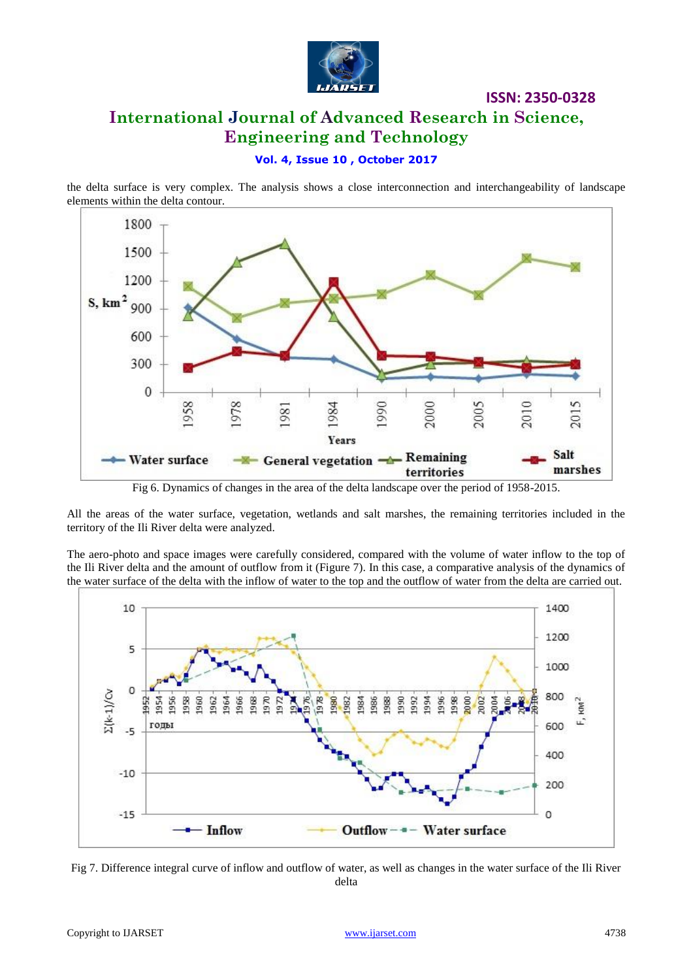

# **ISSN: 2350-0328 International Journal of Advanced Research in Science, Engineering and Technology**

### **Vol. 4, Issue 10 , October 2017**

the delta surface is very complex. The analysis shows a close interconnection and interchangeability of landscape elements within the delta contour.



Fig 6. Dynamics of changes in the area of the delta landscape over the period of 1958-2015.

All the areas of the water surface, vegetation, wetlands and salt marshes, the remaining territories included in the territory of the Ili River delta were analyzed.

The aero-photo and space images were carefully considered, compared with the volume of water inflow to the top of the Ili River delta and the amount of outflow from it (Figure 7). In this case, a comparative analysis of the dynamics of the water surface of the delta with the inflow of water to the top and the outflow of water from the delta are carried out.



Fig 7. Difference integral curve of inflow and outflow of water, as well as changes in the water surface of the Ili River delta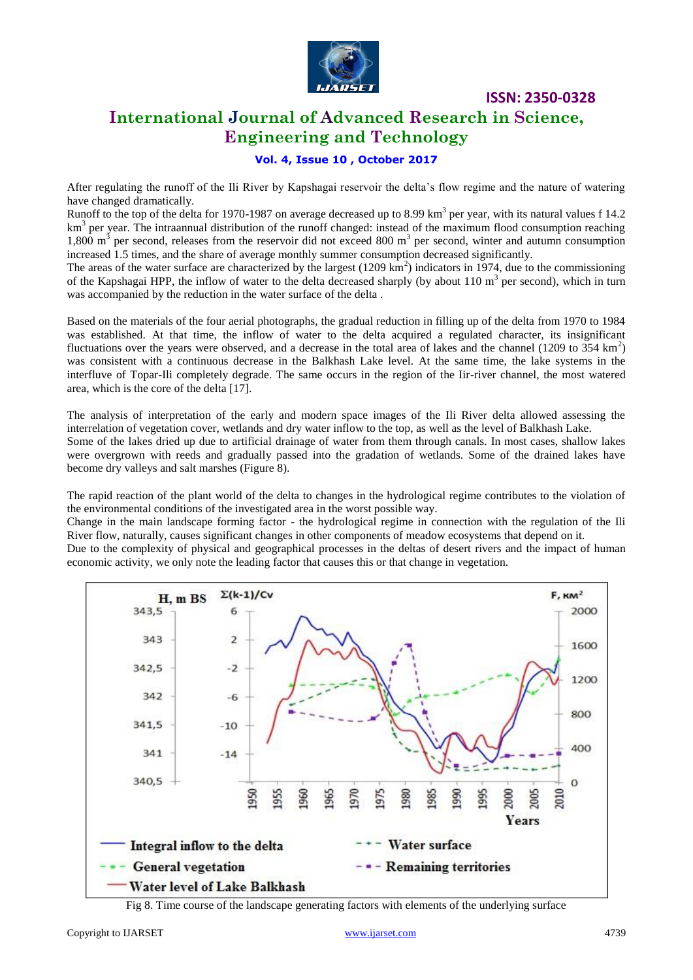

### **International Journal of Advanced Research in Science, Engineering and Technology**

### **Vol. 4, Issue 10 , October 2017**

After regulating the runoff of the Ili River by Kapshagai reservoir the delta's flow regime and the nature of watering have changed dramatically.

Runoff to the top of the delta for 1970-1987 on average decreased up to 8.99 km<sup>3</sup> per year, with its natural values f 14.2 km<sup>3</sup> per year. The intraannual distribution of the runoff changed: instead of the maximum flood consumption reaching 1,800  $m<sup>3</sup>$  per second, releases from the reservoir did not exceed 800  $m<sup>3</sup>$  per second, winter and autumn consumption increased 1.5 times, and the share of average monthly summer consumption decreased significantly.

The areas of the water surface are characterized by the largest  $(1209 \text{ km}^2)$  indicators in 1974, due to the commissioning of the Kapshagai HPP, the inflow of water to the delta decreased sharply (by about  $110 \text{ m}^3$  per second), which in turn was accompanied by the reduction in the water surface of the delta .

Based on the materials of the four aerial photographs, the gradual reduction in filling up of the delta from 1970 to 1984 was established. At that time, the inflow of water to the delta acquired a regulated character, its insignificant fluctuations over the years were observed, and a decrease in the total area of lakes and the channel (1209 to  $354 \text{ km}^2$ ) was consistent with a continuous decrease in the Balkhash Lake level. At the same time, the lake systems in the interfluve of Topar-Ili completely degrade. The same occurs in the region of the Iir-river channel, the most watered area, which is the core of the delta [17].

The analysis of interpretation of the early and modern space images of the Ili River delta allowed assessing the interrelation of vegetation cover, wetlands and dry water inflow to the top, as well as the level of Balkhash Lake. Some of the lakes dried up due to artificial drainage of water from them through canals. In most cases, shallow lakes were overgrown with reeds and gradually passed into the gradation of wetlands. Some of the drained lakes have become dry valleys and salt marshes (Figure 8).

The rapid reaction of the plant world of the delta to changes in the hydrological regime contributes to the violation of the environmental conditions of the investigated area in the worst possible way.

Change in the main landscape forming factor - the hydrological regime in connection with the regulation of the Ili River flow, naturally, causes significant changes in other components of meadow ecosystems that depend on it.

Due to the complexity of physical and geographical processes in the deltas of desert rivers and the impact of human economic activity, we only note the leading factor that causes this or that change in vegetation.



Fig 8. Time course of the landscape generating factors with elements of the underlying surface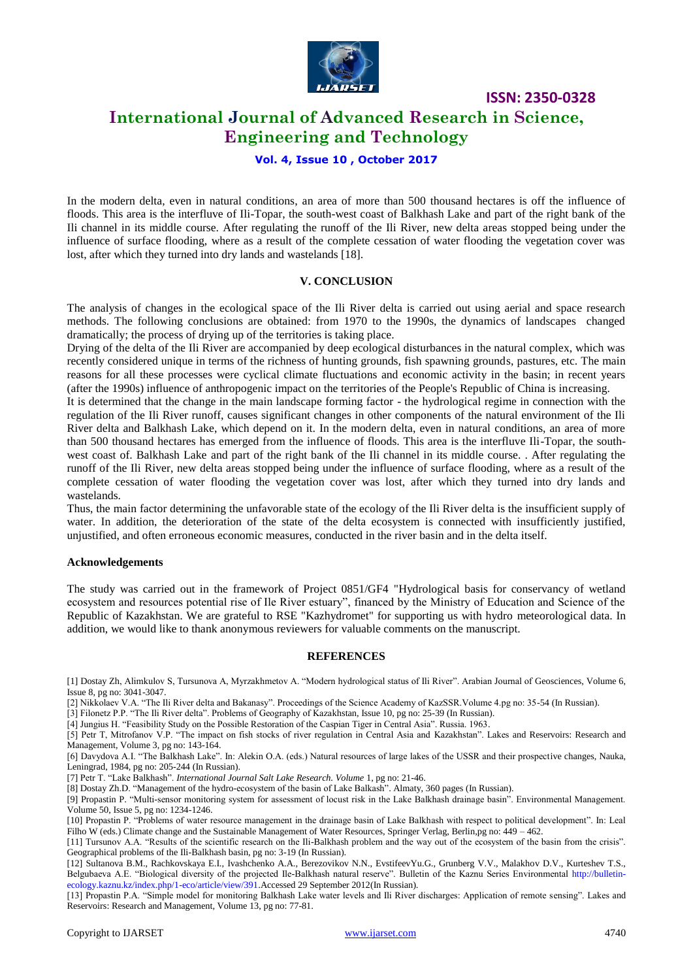

### **International Journal of Advanced Research in Science, Engineering and Technology**

#### **Vol. 4, Issue 10 , October 2017**

In the modern delta, even in natural conditions, an area of more than 500 thousand hectares is off the influence of floods. This area is the interfluve of Ili-Topar, the south-west coast of Balkhash Lake and part of the right bank of the Ili channel in its middle course. After regulating the runoff of the Ili River, new delta areas stopped being under the influence of surface flooding, where as a result of the complete cessation of water flooding the vegetation cover was lost, after which they turned into dry lands and wastelands [18].

#### **V. CONCLUSION**

The analysis of changes in the ecological space of the Ili River delta is carried out using aerial and space research methods. The following conclusions are obtained: from 1970 to the 1990s, the dynamics of landscapes changed dramatically; the process of drying up of the territories is taking place.

Drying of the delta of the Ili River are accompanied by deep ecological disturbances in the natural complex, which was recently considered unique in terms of the richness of hunting grounds, fish spawning grounds, pastures, etc. The main reasons for all these processes were cyclical climate fluctuations and economic activity in the basin; in recent years (after the 1990s) influence of anthropogenic impact on the territories of the People's Republic of China is increasing.

It is determined that the change in the main landscape forming factor - the hydrological regime in connection with the regulation of the Ili River runoff, causes significant changes in other components of the natural environment of the Ili River delta and Balkhash Lake, which depend on it. In the modern delta, even in natural conditions, an area of more than 500 thousand hectares has emerged from the influence of floods. This area is the interfluve Ili-Topar, the southwest coast of. Balkhash Lake and part of the right bank of the Ili channel in its middle course. . After regulating the runoff of the Ili River, new delta areas stopped being under the influence of surface flooding, where as a result of the complete cessation of water flooding the vegetation cover was lost, after which they turned into dry lands and wastelands.

Thus, the main factor determining the unfavorable state of the ecology of the Ili River delta is the insufficient supply of water. In addition, the deterioration of the state of the delta ecosystem is connected with insufficiently justified, unjustified, and often erroneous economic measures, conducted in the river basin and in the delta itself.

#### **Acknowledgements**

The study was carried out in the framework of Project 0851/GF4 "Hydrological basis for conservancy of wetland ecosystem and resources potential rise of Ile River estuary", financed by the Ministry of Education and Science of the Republic of Kazakhstan. We are grateful to RSE "Kazhydromet" for supporting us with hydro meteorological data. In addition, we would like to thank anonymous reviewers for valuable comments on the manuscript.

#### **REFERENCES**

- [1] Dostay Zh, Alimkulov S, Tursunova A, Myrzakhmetov A. "Modern hydrological status of Ili River". Arabian Journal of Geosciences, Volume 6, Issue 8, pg no: 3041-3047.
- [2] Nikkolaev V.A. "The Ili River delta and Bakanasy". Proceedings of the Science Academy of KazSSR.Volume 4.pg no: 35-54 (In Russian).
- [3] Filonetz P.P. "The Ili River delta". Problems of Geography of Kazakhstan, Issue 10, pg no: 25-39 (In Russian).
- [4] Jungius H. "Feasibility Study on the Possible Restoration of the Caspian Tiger in Central Asia". Russia. 1963.

[5] Petr T, Mitrofanov V.P. "The impact on fish stocks of river regulation in Central Asia and Kazakhstan". Lakes and Reservoirs: Research and Management, Volume 3, pg no: 143-164.

[6] Davydova A.I. "The Balkhash Lake". In: Alekin O.A. (eds.) Natural resources of large lakes of the USSR and their prospective changes, Nauka, Leningrad, 1984, pg no: 205-244 (In Russian).

[7] Petr T. "Lake Balkhash". *International Journal Salt Lake Research. Volume* 1, pg no: 21-46.

[8] Dostay Zh.D. "Management of the hydro-ecosystem of the basin of Lake Balkash". Almaty, 360 pages (In Russian).

[9] Propastin P. "Multi-sensor monitoring system for assessment of locust risk in the Lake Balkhash drainage basin". Environmental Management. Volume 50, Issue 5, pg no: 1234-1246.

[10] Propastin P. "Problems of water resource management in the drainage basin of Lake Balkhash with respect to political development". In: Leal Filho W (eds.) Climate change and the Sustainable Management of Water Resources, Springer Verlag, Berlin,pg no: 449 – 462.

[11] Tursunov A.A. "Results of the scientific research on the Ili-Balkhash problem and the way out of the ecosystem of the basin from the crisis". Geographical problems of the Ili-Balkhash basin, pg no: 3-19 (In Russian).

[12] Sultanova B.M., Rachkovskaya E.I., Ivashchenko A.A., Berezovikov N.N., EvstifeevYu.G., Grunberg V.V., Malakhov D.V., Kurteshev T.S., Belgubaeva A.E. "Biological diversity of the projected Ile-Balkhash natural reserve". Bulletin of the Kaznu Series Environmental [http://bulletin](http://bulletin-ecology.kaznu.kz/index.php/1-eco/article/view/391)[ecology.kaznu.kz/index.php/1-eco/article/view/391.A](http://bulletin-ecology.kaznu.kz/index.php/1-eco/article/view/391)ccessed 29 September 2012(In Russian).

[13] Propastin P.A. "Simple model for monitoring Balkhash Lake water levels and Ili River discharges: Application of remote sensing". Lakes and Reservoirs: Research and Management, Volume 13, pg no: 77-81.